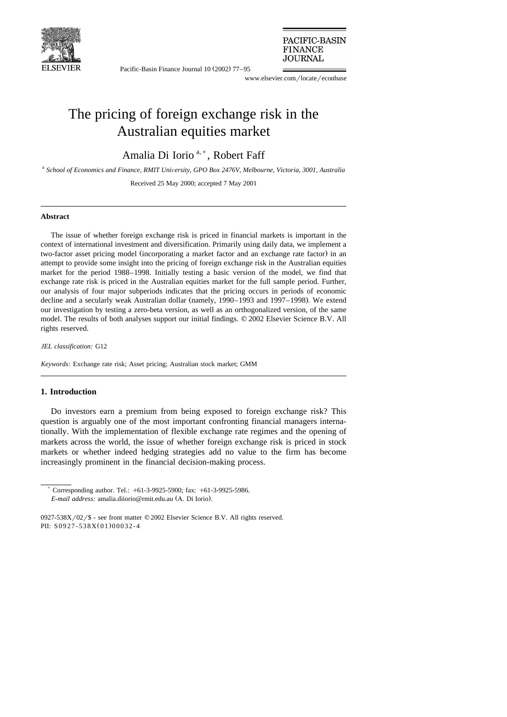

Pacific-Basin Finance Journal 10 (2002) 77–95

PACIFIC-BASIN **FINANCE** JOURNAL

www.elsevier.com/locate/econbase

## The pricing of foreign exchange risk in the Australian equities market

Amalia Di Iorio<sup>a,\*</sup>, Robert Faff

<sup>a</sup> School of Economics and Finance, RMIT University, GPO Box 2476V, Melbourne, Victoria, 3001, Australia

Received 25 May 2000; accepted 7 May 2001

## **Abstract**

The issue of whether foreign exchange risk is priced in financial markets is important in the context of international investment and diversification. Primarily using daily data, we implement a two-factor asset pricing model (incorporating a market factor and an exchange rate factor) in an attempt to provide some insight into the pricing of foreign exchange risk in the Australian equities market for the period 1988–1998. Initially testing a basic version of the model, we find that exchange rate risk is priced in the Australian equities market for the full sample period. Further, our analysis of four major subperiods indicates that the pricing occurs in periods of economic decline and a secularly weak Australian dollar (namely, 1990–1993 and 1997–1998). We extend our investigation by testing a zero-beta version, as well as an orthogonalized version, of the same model. The results of both analyses support our initial findings.  $\heartsuit$  2002 Elsevier Science B.V. All rights reserved.

*JEL classification:* G12

*Keywords:* Exchange rate risk; Asset pricing; Australian stock market; GMM

## **1. Introduction**

Do investors earn a premium from being exposed to foreign exchange risk? This question is arguably one of the most important confronting financial managers internationally. With the implementation of flexible exchange rate regimes and the opening of markets across the world, the issue of whether foreign exchange risk is priced in stock markets or whether indeed hedging strategies add no value to the firm has become increasingly prominent in the financial decision-making process.

Corresponding author. Tel.: +61-3-9925-5900; fax: +61-3-9925-5986. *E-mail address:* amalia.diiorio@rmit.edu.au (A. Di Iorio).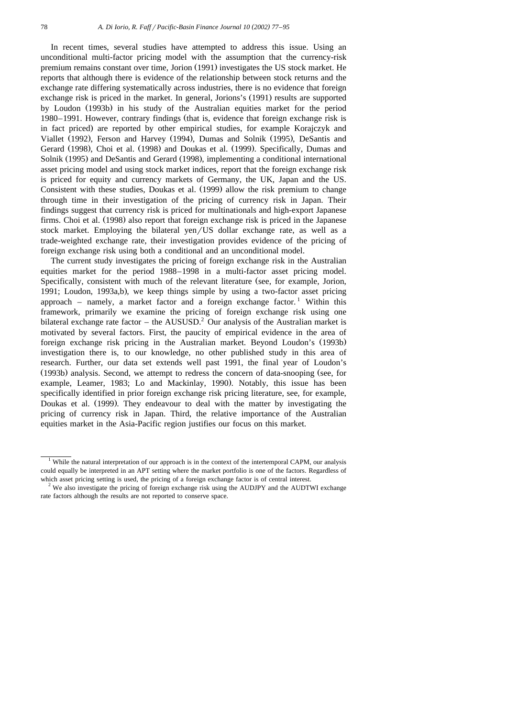In recent times, several studies have attempted to address this issue. Using an unconditional multi-factor pricing model with the assumption that the currency-risk premium remains constant over time, Jorion (1991) investigates the US stock market. He reports that although there is evidence of the relationship between stock returns and the exchange rate differing systematically across industries, there is no evidence that foreign exchange risk is priced in the market. In general, Jorions's (1991) results are supported by Loudon (1993b) in his study of the Australian equities market for the period 1980–1991. However, contrary findings (that is, evidence that foreign exchange risk is in fact priced) are reported by other empirical studies, for example Korajczyk and Viallet (1992), Ferson and Harvey (1994), Dumas and Solnik (1995), DeSantis and Gerard (1998), Choi et al. (1998) and Doukas et al. (1999). Specifically, Dumas and Solnik (1995) and DeSantis and Gerard (1998), implementing a conditional international asset pricing model and using stock market indices, report that the foreign exchange risk is priced for equity and currency markets of Germany, the UK, Japan and the US. Consistent with these studies, Doukas et al. (1999) allow the risk premium to change through time in their investigation of the pricing of currency risk in Japan. Their findings suggest that currency risk is priced for multinationals and high-export Japanese firms. Choi et al. (1998) also report that foreign exchange risk is priced in the Japanese stock market. Employing the bilateral yen/US dollar exchange rate, as well as a trade-weighted exchange rate, their investigation provides evidence of the pricing of foreign exchange risk using both a conditional and an unconditional model.

The current study investigates the pricing of foreign exchange risk in the Australian equities market for the period 1988–1998 in a multi-factor asset pricing model. Specifically, consistent with much of the relevant literature (see, for example, Jorion, 1991; Loudon, 1993a,b), we keep things simple by using a two-factor asset pricing approach – namely, a market factor and a foreign exchange factor.<sup>1</sup> Within this framework, primarily we examine the pricing of foreign exchange risk using one bilateral exchange rate factor – the AUSUSD.<sup>2</sup> Our analysis of the Australian market is motivated by several factors. First, the paucity of empirical evidence in the area of foreign exchange risk pricing in the Australian market. Beyond Loudon's (1993b) investigation there is, to our knowledge, no other published study in this area of research. Further, our data set extends well past 1991, the final year of Loudon's  $(1993b)$  analysis. Second, we attempt to redress the concern of data-snooping (see, for example, Leamer, 1983; Lo and Mackinlay, 1990). Notably, this issue has been specifically identified in prior foreign exchange risk pricing literature, see, for example, Doukas et al. (1999). They endeavour to deal with the matter by investigating the pricing of currency risk in Japan. Third, the relative importance of the Australian equities market in the Asia-Pacific region justifies our focus on this market.

 $1$  While the natural interpretation of our approach is in the context of the intertemporal CAPM, our analysis could equally be interpreted in an APT setting where the market portfolio is one of the factors. Regardless of which asset pricing setting is used, the pricing of a foreign exchange factor is of central interest.<br><sup>2</sup> We also investigate the pricing of foreign exchange risk using the AUDJPY and the AUDTWI exchange

rate factors although the results are not reported to conserve space.